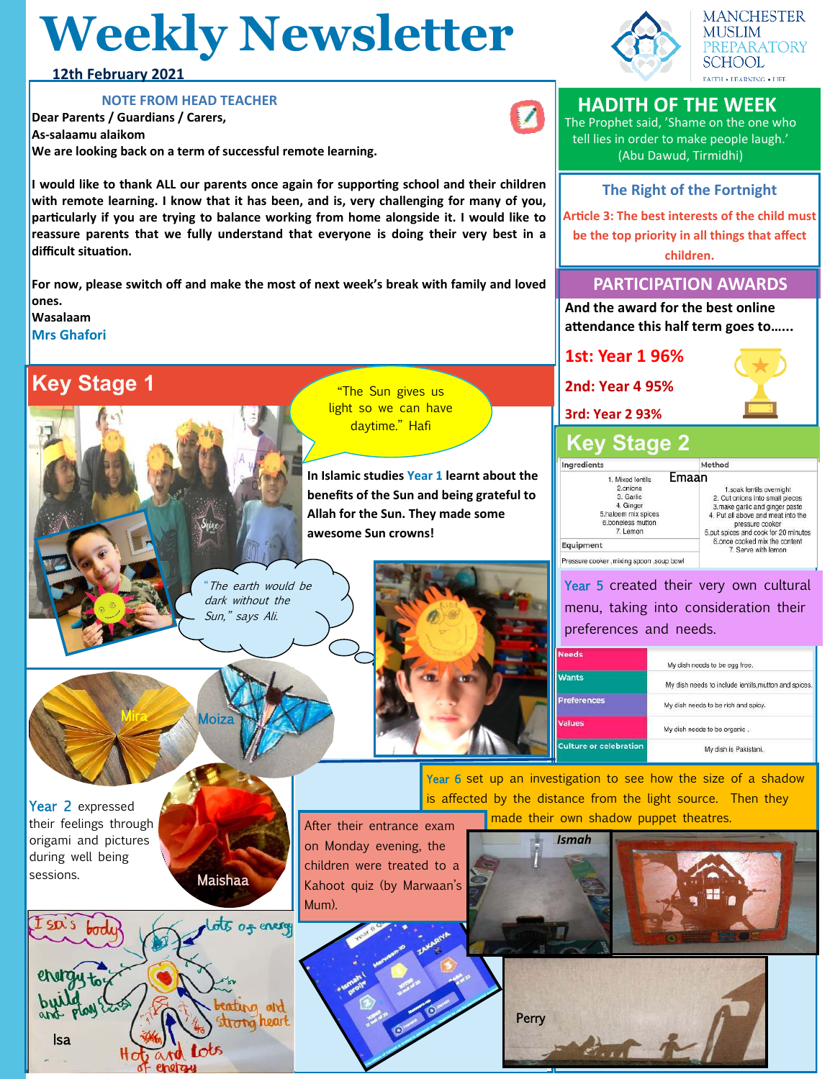# **Weekly Newsletter**



**HADITH OF THE WEEK** The Prophet said, 'Shame on the one who tell lies in order to make people laugh.' (Abu Dawud, Tirmidhi)

**The Right of the Fortnight Article 3: The best interests of the child must be the top priority in all things that affect children.**

**PARTICIPATION AWARDS**

**1st: Year 1 96%**

**2nd: Year 4 95%**

**3rd: Year 2 93%**

7. Lemon

ressure cooker , mixing spoon , soup bowl

Ingredients

Equipment

**MANCHESTER MUSLIM** PREPARATORY SCHOOL **FAITH + LEARNING + LIFE** 

### **12th February 2021**

#### **NOTE FROM HEAD TEACHER**

**Dear Parents / Guardians / Carers, As-salaamu alaikom We are looking back on a term of successful remote learning.** 

**I would like to thank ALL our parents once again for supporting school and their children with remote learning. I know that it has been, and is, very challenging for many of you, particularly if you are trying to balance working from home alongside it. I would like to reassure parents that we fully understand that everyone is doing their very best in a difficult situation.** 

**For now, please switch off and make the most of next week's break with family and loved ones.** 

**Wasalaam**

**Mrs Ghafori**

## **Key Stage 1**

"The Sun gives us light so we can have daytime." Hafi

**In Islamic studies Year 1 learnt about the benefits of the Sun and being grateful to Allah for the Sun. They made some awesome Sun crowns!** 

The earth would be dark without the Sun," says Ali.



| leeds                 | My dish needs to be egg free.                        |
|-----------------------|------------------------------------------------------|
| Vants                 | My dish needs to include lentils, mutton and spices. |
| references            | My dish needs to be rich and spicy.                  |
| alues                 | My dish needs to be organic.                         |
| ulture or celebration | My dish is Pakistani.                                |

Year 2 expressed their feelings through origami and pictures during well being sessions.

Maishaa

Moiza



After their entrance exam on Monday evening, the children were treated to a Kahoot quiz (by Marwaan's Mum).







is affected by the distance from the light source. Then they made their own shadow puppet theatres.

**And the award for the best online attendance this half term goes to…...**



1.soak lentils overnight 2. Cut onions into small pieces make garlic and ginger paste 4. Put all above and meat into the pressure cooker<br>5.put spices and cook for 20 minutes 6.once cooked mix the content<br>7. Serve with lemon

Year 5 created their very own cultural menu, taking into consideration their preferences and needs.